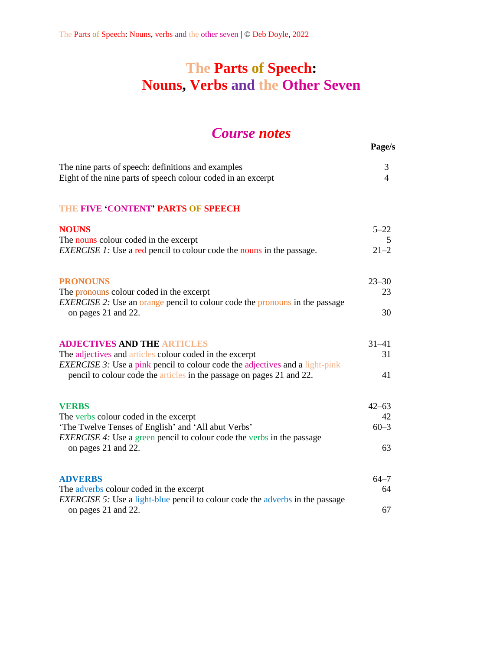# **The Parts of Speech: Nouns, Verbs and the Other Seven**

## *Course notes*

**Page/s**

| The nine parts of speech: definitions and examples           |  |
|--------------------------------------------------------------|--|
| Eight of the nine parts of speech colour coded in an excerpt |  |

#### **THE FIVE 'CONTENT' PARTS OF SPEECH**

| <b>NOUNS</b>                                                                                         | $5 - 22$  |
|------------------------------------------------------------------------------------------------------|-----------|
| The nouns colour coded in the excerpt                                                                | 5         |
| <i>EXERCISE 1:</i> Use a red pencil to colour code the nouns in the passage.                         | $21 - 2$  |
|                                                                                                      |           |
| <b>PRONOUNS</b>                                                                                      | $23 - 30$ |
| The pronouns colour coded in the excerpt                                                             | 23        |
| <i>EXERCISE</i> 2: Use an orange pencil to colour code the pronouns in the passage                   |           |
| on pages 21 and 22.                                                                                  | 30        |
|                                                                                                      |           |
| <b>ADJECTIVES AND THE ARTICLES</b>                                                                   | $31 - 41$ |
| The adjectives and articles colour coded in the excerpt                                              | 31        |
| <i>EXERCISE 3:</i> Use a pink pencil to colour code the adjectives and a light-pink                  |           |
| pencil to colour code the articles in the passage on pages 21 and 22.                                | 41        |
|                                                                                                      |           |
| <b>VERBS</b>                                                                                         | $42 - 63$ |
| The verbs colour coded in the excerpt                                                                | 42        |
| 'The Twelve Tenses of English' and 'All abut Verbs'                                                  | $60 - 3$  |
| <b>EXERCISE 4:</b> Use a green pencil to colour code the verbs in the passage                        |           |
| on pages 21 and 22.                                                                                  | 63        |
|                                                                                                      |           |
|                                                                                                      |           |
| <b>ADVERBS</b>                                                                                       | $64 - 7$  |
| The adverbs colour coded in the excerpt                                                              | 64        |
| EXERCISE 5: Use a light-blue pencil to colour code the adverbs in the passage<br>on pages 21 and 22. | 67        |
|                                                                                                      |           |